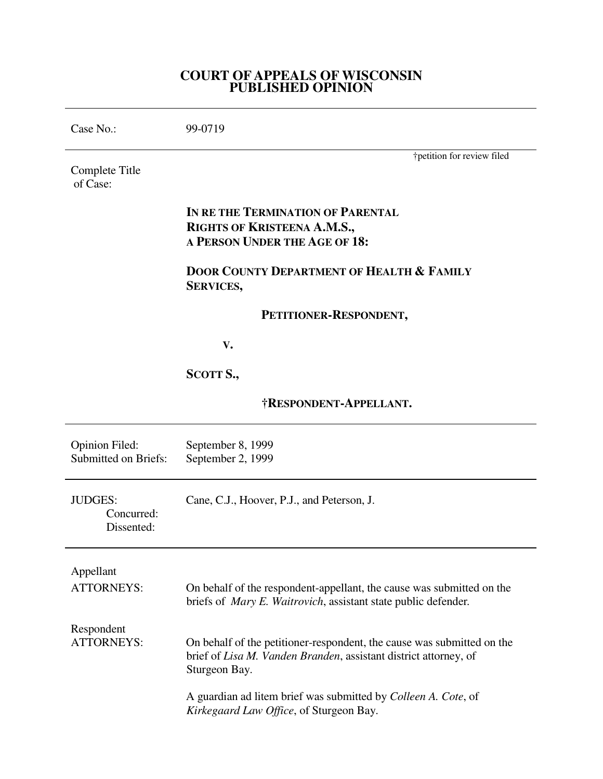### **COURT OF APPEALS OF WISCONSIN PUBLISHED OPINION**

| Case No.:                                            | 99-0719                                                                                                                                                     |
|------------------------------------------------------|-------------------------------------------------------------------------------------------------------------------------------------------------------------|
| Complete Title<br>of Case:                           | †petition for review filed                                                                                                                                  |
|                                                      | IN RE THE TERMINATION OF PARENTAL<br>RIGHTS OF KRISTEENA A.M.S.,<br>A PERSON UNDER THE AGE OF 18:                                                           |
|                                                      | <b>DOOR COUNTY DEPARTMENT OF HEALTH &amp; FAMILY</b><br><b>SERVICES,</b>                                                                                    |
|                                                      | PETITIONER-RESPONDENT,                                                                                                                                      |
|                                                      | V.                                                                                                                                                          |
|                                                      | SCOTT S.,                                                                                                                                                   |
|                                                      | <b>†RESPONDENT-APPELLANT.</b>                                                                                                                               |
| <b>Opinion Filed:</b><br><b>Submitted on Briefs:</b> | September 8, 1999<br>September 2, 1999                                                                                                                      |
| <b>JUDGES:</b><br>Concurred:<br>Dissented:           | Cane, C.J., Hoover, P.J., and Peterson, J.                                                                                                                  |
| Appellant<br><b>ATTORNEYS:</b>                       | On behalf of the respondent-appellant, the cause was submitted on the<br>briefs of <i>Mary E. Waitrovich</i> , assistant state public defender.             |
| Respondent<br><b>ATTORNEYS:</b>                      | On behalf of the petitioner-respondent, the cause was submitted on the<br>brief of Lisa M. Vanden Branden, assistant district attorney, of<br>Sturgeon Bay. |
|                                                      | A guardian ad litem brief was submitted by <i>Colleen A. Cote</i> , of<br>Kirkegaard Law Office, of Sturgeon Bay.                                           |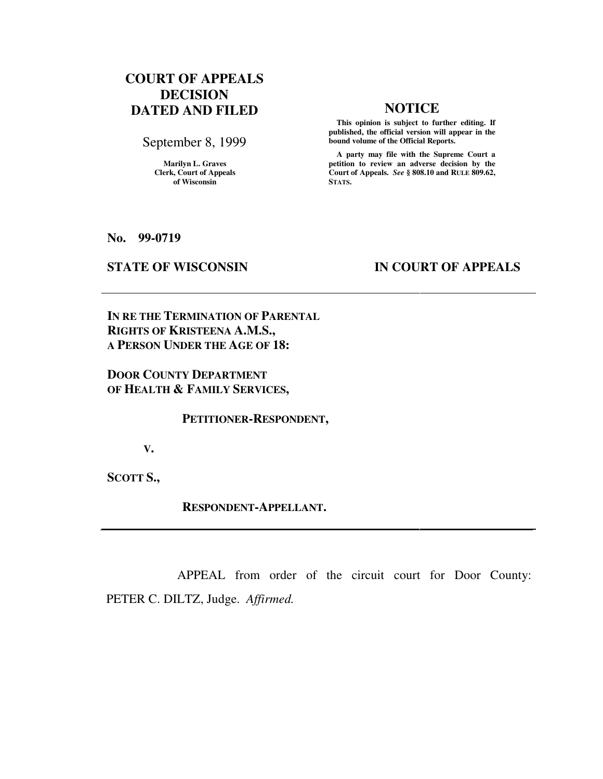# **COURT OF APPEALS DECISION DATED AND FILED NOTICE**

September 8, 1999

**Marilyn L. Graves Clerk, Court of Appeals of Wisconsin** 

 **This opinion is subject to further editing. If published, the official version will appear in the bound volume of the Official Reports.**

 **A party may file with the Supreme Court a petition to review an adverse decision by the Court of Appeals.** *See* **§ 808.10 and RULE 809.62, STATS.** 

**No. 99-0719** 

## **STATE OF WISCONSIN IN COURT OF APPEALS**

**IN RE THE TERMINATION OF PARENTAL RIGHTS OF KRISTEENA A.M.S., A PERSON UNDER THE AGE OF 18:** 

## **DOOR COUNTY DEPARTMENT OF HEALTH & FAMILY SERVICES,**

 **PETITIONER-RESPONDENT,** 

 **V.** 

**SCOTT S.,** 

 **RESPONDENT-APPELLANT.** 

 APPEAL from order of the circuit court for Door County: PETER C. DILTZ, Judge. *Affirmed.*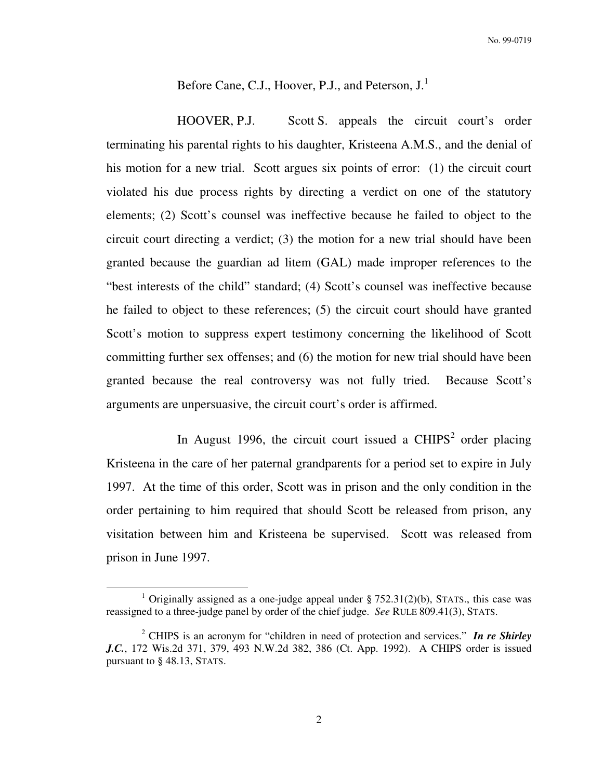Before Cane, C.J., Hoover, P.J., and Peterson, J.<sup>1</sup>

 HOOVER, P.J. Scott S. appeals the circuit court's order terminating his parental rights to his daughter, Kristeena A.M.S., and the denial of his motion for a new trial. Scott argues six points of error: (1) the circuit court violated his due process rights by directing a verdict on one of the statutory elements; (2) Scott's counsel was ineffective because he failed to object to the circuit court directing a verdict; (3) the motion for a new trial should have been granted because the guardian ad litem (GAL) made improper references to the "best interests of the child" standard; (4) Scott's counsel was ineffective because he failed to object to these references; (5) the circuit court should have granted Scott's motion to suppress expert testimony concerning the likelihood of Scott committing further sex offenses; and (6) the motion for new trial should have been granted because the real controversy was not fully tried. Because Scott's arguments are unpersuasive, the circuit court's order is affirmed.

In August 1996, the circuit court issued a CHIPS<sup>2</sup> order placing Kristeena in the care of her paternal grandparents for a period set to expire in July 1997. At the time of this order, Scott was in prison and the only condition in the order pertaining to him required that should Scott be released from prison, any visitation between him and Kristeena be supervised. Scott was released from prison in June 1997.

 $\overline{a}$ 

<sup>&</sup>lt;sup>1</sup> Originally assigned as a one-judge appeal under  $\S 752.31(2)(b)$ , STATS., this case was reassigned to a three-judge panel by order of the chief judge. *See* RULE 809.41(3), STATS.

<sup>2</sup> CHIPS is an acronym for "children in need of protection and services." *In re Shirley J.C.*, 172 Wis.2d 371, 379, 493 N.W.2d 382, 386 (Ct. App. 1992). A CHIPS order is issued pursuant to § 48.13, STATS.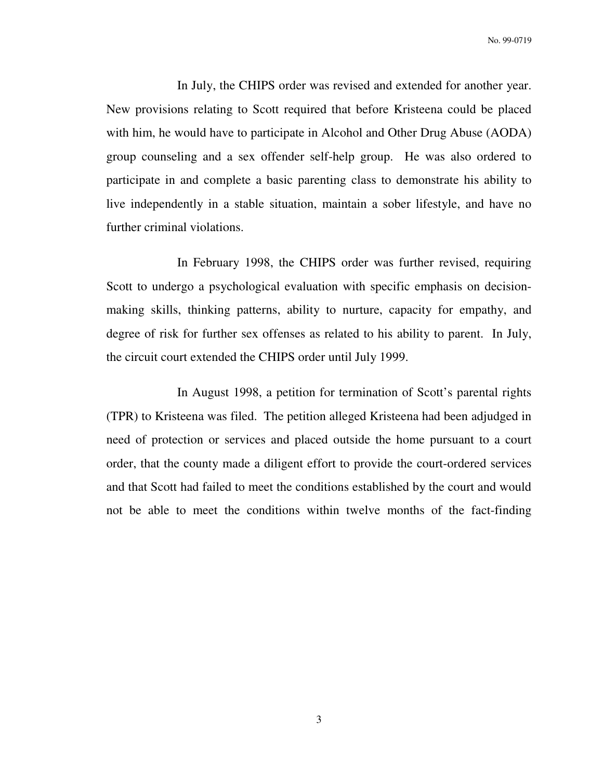No. 99-0719

 In July, the CHIPS order was revised and extended for another year. New provisions relating to Scott required that before Kristeena could be placed with him, he would have to participate in Alcohol and Other Drug Abuse (AODA) group counseling and a sex offender self-help group. He was also ordered to participate in and complete a basic parenting class to demonstrate his ability to live independently in a stable situation, maintain a sober lifestyle, and have no further criminal violations.

 In February 1998, the CHIPS order was further revised, requiring Scott to undergo a psychological evaluation with specific emphasis on decisionmaking skills, thinking patterns, ability to nurture, capacity for empathy, and degree of risk for further sex offenses as related to his ability to parent. In July, the circuit court extended the CHIPS order until July 1999.

 In August 1998, a petition for termination of Scott's parental rights (TPR) to Kristeena was filed. The petition alleged Kristeena had been adjudged in need of protection or services and placed outside the home pursuant to a court order, that the county made a diligent effort to provide the court-ordered services and that Scott had failed to meet the conditions established by the court and would not be able to meet the conditions within twelve months of the fact-finding

3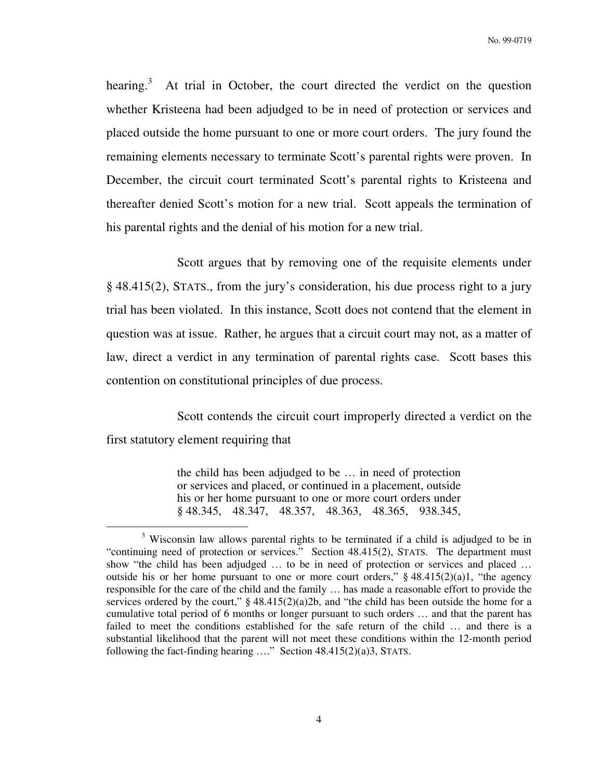hearing.<sup>3</sup> At trial in October, the court directed the verdict on the question whether Kristeena had been adjudged to be in need of protection or services and placed outside the home pursuant to one or more court orders. The jury found the remaining elements necessary to terminate Scott's parental rights were proven. In December, the circuit court terminated Scott's parental rights to Kristeena and thereafter denied Scott's motion for a new trial. Scott appeals the termination of his parental rights and the denial of his motion for a new trial.

 Scott argues that by removing one of the requisite elements under § 48.415(2), STATS., from the jury's consideration, his due process right to a jury trial has been violated. In this instance, Scott does not contend that the element in question was at issue. Rather, he argues that a circuit court may not, as a matter of law, direct a verdict in any termination of parental rights case. Scott bases this contention on constitutional principles of due process.

 Scott contends the circuit court improperly directed a verdict on the first statutory element requiring that

> the child has been adjudged to be … in need of protection or services and placed, or continued in a placement, outside his or her home pursuant to one or more court orders under § 48.345, 48.347, 48.357, 48.363, 48.365, 938.345,

 $\overline{a}$ 

<sup>&</sup>lt;sup>3</sup> Wisconsin law allows parental rights to be terminated if a child is adjudged to be in "continuing need of protection or services." Section 48.415(2), STATS. The department must show "the child has been adjudged … to be in need of protection or services and placed … outside his or her home pursuant to one or more court orders,"  $§$  48.415(2)(a)1, "the agency responsible for the care of the child and the family … has made a reasonable effort to provide the services ordered by the court,"  $\S 48.415(2)(a)2b$ , and "the child has been outside the home for a cumulative total period of 6 months or longer pursuant to such orders … and that the parent has failed to meet the conditions established for the safe return of the child … and there is a substantial likelihood that the parent will not meet these conditions within the 12-month period following the fact-finding hearing …." Section 48.415(2)(a)3, STATS.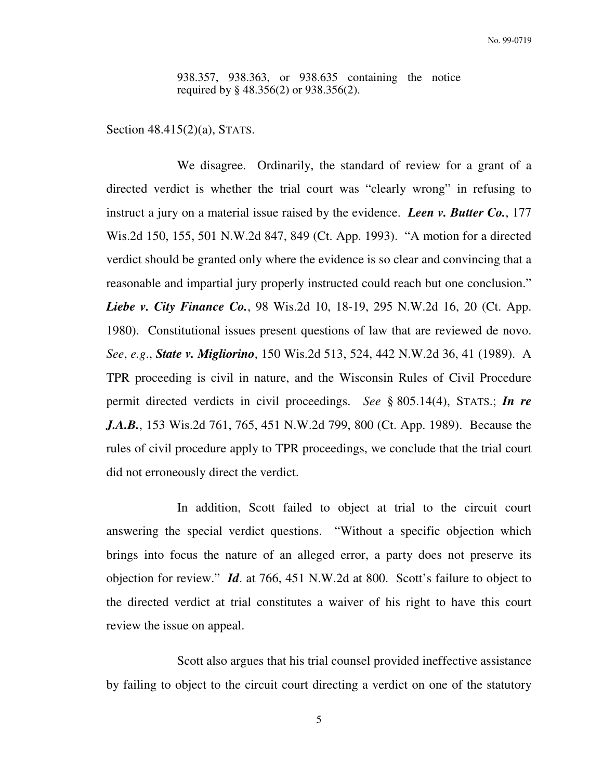938.357, 938.363, or 938.635 containing the notice required by § 48.356(2) or 938.356(2).

Section 48.415(2)(a), STATS.

 We disagree. Ordinarily, the standard of review for a grant of a directed verdict is whether the trial court was "clearly wrong" in refusing to instruct a jury on a material issue raised by the evidence. *Leen v. Butter Co.*, 177 Wis.2d 150, 155, 501 N.W.2d 847, 849 (Ct. App. 1993). "A motion for a directed verdict should be granted only where the evidence is so clear and convincing that a reasonable and impartial jury properly instructed could reach but one conclusion." *Liebe v. City Finance Co.*, 98 Wis.2d 10, 18-19, 295 N.W.2d 16, 20 (Ct. App. 1980). Constitutional issues present questions of law that are reviewed de novo. *See*, *e.g*., *State v. Migliorino*, 150 Wis.2d 513, 524, 442 N.W.2d 36, 41 (1989). A TPR proceeding is civil in nature, and the Wisconsin Rules of Civil Procedure permit directed verdicts in civil proceedings. *See* § 805.14(4), STATS.; *In re J.A.B.*, 153 Wis.2d 761, 765, 451 N.W.2d 799, 800 (Ct. App. 1989). Because the rules of civil procedure apply to TPR proceedings, we conclude that the trial court did not erroneously direct the verdict.

 In addition, Scott failed to object at trial to the circuit court answering the special verdict questions. "Without a specific objection which brings into focus the nature of an alleged error, a party does not preserve its objection for review." *Id*. at 766, 451 N.W.2d at 800. Scott's failure to object to the directed verdict at trial constitutes a waiver of his right to have this court review the issue on appeal.

 Scott also argues that his trial counsel provided ineffective assistance by failing to object to the circuit court directing a verdict on one of the statutory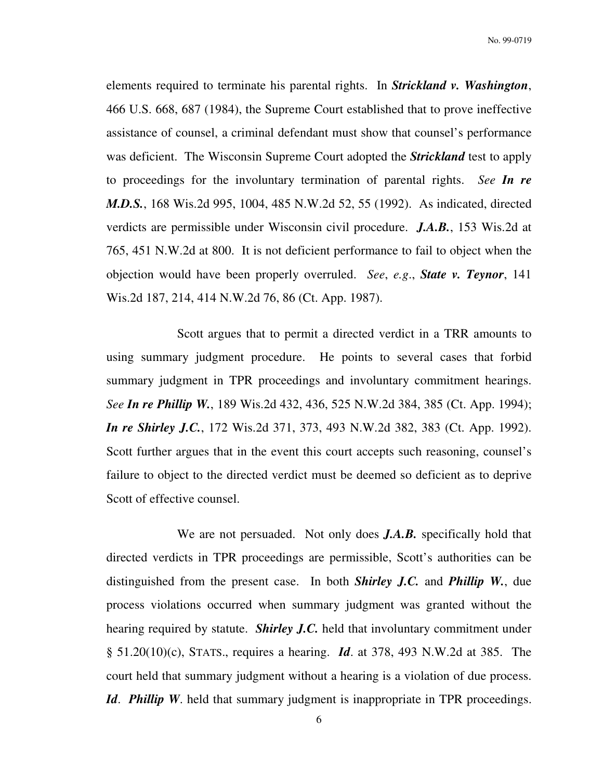No. 99-0719

elements required to terminate his parental rights. In *Strickland v. Washington*, 466 U.S. 668, 687 (1984), the Supreme Court established that to prove ineffective assistance of counsel, a criminal defendant must show that counsel's performance was deficient. The Wisconsin Supreme Court adopted the *Strickland* test to apply to proceedings for the involuntary termination of parental rights. *See In re M.D.S.*, 168 Wis.2d 995, 1004, 485 N.W.2d 52, 55 (1992). As indicated, directed verdicts are permissible under Wisconsin civil procedure. *J.A.B.*, 153 Wis.2d at 765, 451 N.W.2d at 800. It is not deficient performance to fail to object when the objection would have been properly overruled. *See*, *e.g*., *State v. Teynor*, 141 Wis.2d 187, 214, 414 N.W.2d 76, 86 (Ct. App. 1987).

 Scott argues that to permit a directed verdict in a TRR amounts to using summary judgment procedure. He points to several cases that forbid summary judgment in TPR proceedings and involuntary commitment hearings. *See In re Phillip W.*, 189 Wis.2d 432, 436, 525 N.W.2d 384, 385 (Ct. App. 1994); *In re Shirley J.C.*, 172 Wis.2d 371, 373, 493 N.W.2d 382, 383 (Ct. App. 1992). Scott further argues that in the event this court accepts such reasoning, counsel's failure to object to the directed verdict must be deemed so deficient as to deprive Scott of effective counsel.

 We are not persuaded. Not only does *J.A.B.* specifically hold that directed verdicts in TPR proceedings are permissible, Scott's authorities can be distinguished from the present case. In both *Shirley J.C.* and *Phillip W.*, due process violations occurred when summary judgment was granted without the hearing required by statute. *Shirley J.C.* held that involuntary commitment under § 51.20(10)(c), STATS., requires a hearing. *Id*. at 378, 493 N.W.2d at 385. The court held that summary judgment without a hearing is a violation of due process. *Id. Phillip W*. held that summary judgment is inappropriate in TPR proceedings.

6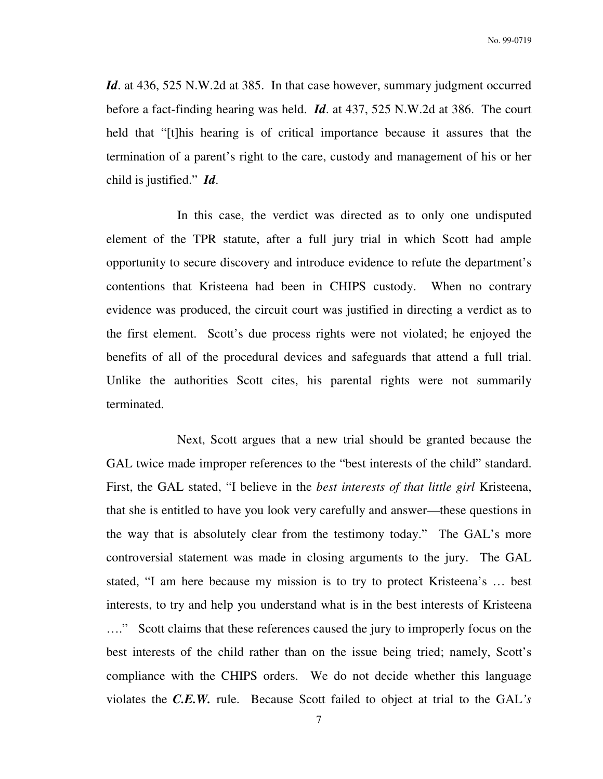*Id.* at 436, 525 N.W.2d at 385. In that case however, summary judgment occurred before a fact-finding hearing was held. *Id*. at 437, 525 N.W.2d at 386. The court held that "[t]his hearing is of critical importance because it assures that the termination of a parent's right to the care, custody and management of his or her child is justified." *Id*.

 In this case, the verdict was directed as to only one undisputed element of the TPR statute, after a full jury trial in which Scott had ample opportunity to secure discovery and introduce evidence to refute the department's contentions that Kristeena had been in CHIPS custody. When no contrary evidence was produced, the circuit court was justified in directing a verdict as to the first element. Scott's due process rights were not violated; he enjoyed the benefits of all of the procedural devices and safeguards that attend a full trial. Unlike the authorities Scott cites, his parental rights were not summarily terminated.

 Next, Scott argues that a new trial should be granted because the GAL twice made improper references to the "best interests of the child" standard. First, the GAL stated, "I believe in the *best interests of that little girl* Kristeena, that she is entitled to have you look very carefully and answer—these questions in the way that is absolutely clear from the testimony today." The GAL's more controversial statement was made in closing arguments to the jury. The GAL stated, "I am here because my mission is to try to protect Kristeena's … best interests, to try and help you understand what is in the best interests of Kristeena …." Scott claims that these references caused the jury to improperly focus on the best interests of the child rather than on the issue being tried; namely, Scott's compliance with the CHIPS orders. We do not decide whether this language violates the *C.E.W.* rule. Because Scott failed to object at trial to the GAL*'s*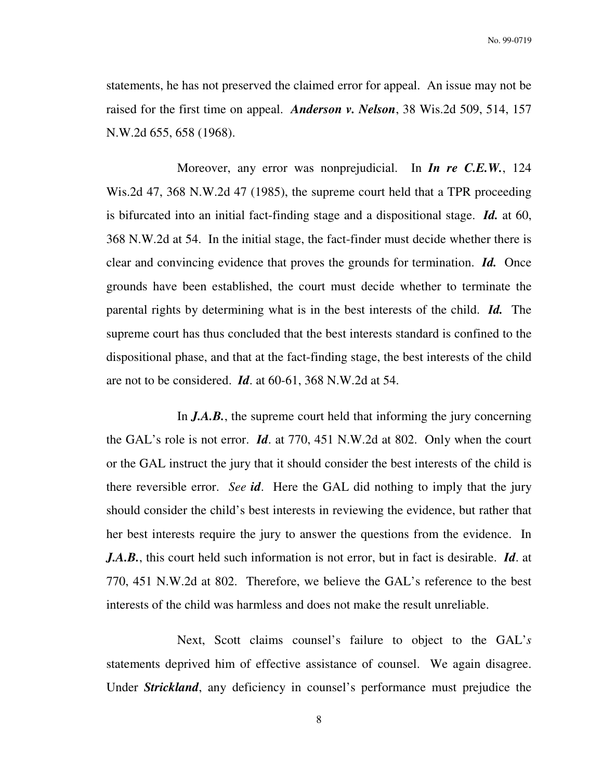statements, he has not preserved the claimed error for appeal. An issue may not be raised for the first time on appeal. *Anderson v. Nelson*, 38 Wis.2d 509, 514, 157 N.W.2d 655, 658 (1968).

 Moreover, any error was nonprejudicial. In *In re C.E.W.*, 124 Wis.2d 47, 368 N.W.2d 47 (1985), the supreme court held that a TPR proceeding is bifurcated into an initial fact-finding stage and a dispositional stage. *Id.* at 60, 368 N.W.2d at 54. In the initial stage, the fact-finder must decide whether there is clear and convincing evidence that proves the grounds for termination. *Id.* Once grounds have been established, the court must decide whether to terminate the parental rights by determining what is in the best interests of the child. *Id.* The supreme court has thus concluded that the best interests standard is confined to the dispositional phase, and that at the fact-finding stage, the best interests of the child are not to be considered. *Id*. at 60-61, 368 N.W.2d at 54.

 In *J.A.B.*, the supreme court held that informing the jury concerning the GAL's role is not error. *Id*. at 770, 451 N.W.2d at 802. Only when the court or the GAL instruct the jury that it should consider the best interests of the child is there reversible error. *See id*. Here the GAL did nothing to imply that the jury should consider the child's best interests in reviewing the evidence, but rather that her best interests require the jury to answer the questions from the evidence. In *J.A.B.*, this court held such information is not error, but in fact is desirable. *Id*. at 770, 451 N.W.2d at 802. Therefore, we believe the GAL's reference to the best interests of the child was harmless and does not make the result unreliable.

 Next, Scott claims counsel's failure to object to the GAL'*s* statements deprived him of effective assistance of counsel. We again disagree. Under *Strickland*, any deficiency in counsel's performance must prejudice the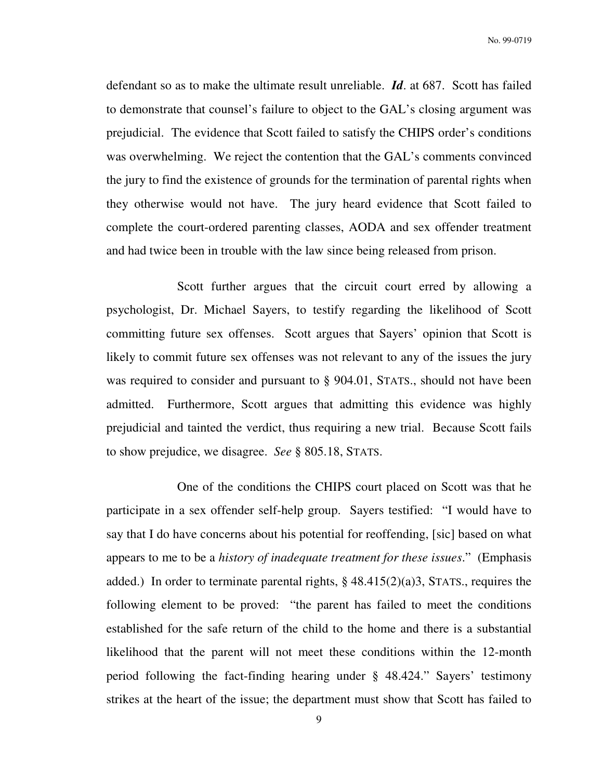defendant so as to make the ultimate result unreliable. *Id*. at 687. Scott has failed to demonstrate that counsel's failure to object to the GAL's closing argument was prejudicial. The evidence that Scott failed to satisfy the CHIPS order's conditions was overwhelming. We reject the contention that the GAL's comments convinced the jury to find the existence of grounds for the termination of parental rights when they otherwise would not have. The jury heard evidence that Scott failed to complete the court-ordered parenting classes, AODA and sex offender treatment and had twice been in trouble with the law since being released from prison.

 Scott further argues that the circuit court erred by allowing a psychologist, Dr. Michael Sayers, to testify regarding the likelihood of Scott committing future sex offenses. Scott argues that Sayers' opinion that Scott is likely to commit future sex offenses was not relevant to any of the issues the jury was required to consider and pursuant to § 904.01, STATS., should not have been admitted. Furthermore, Scott argues that admitting this evidence was highly prejudicial and tainted the verdict, thus requiring a new trial. Because Scott fails to show prejudice, we disagree. *See* § 805.18, STATS.

 One of the conditions the CHIPS court placed on Scott was that he participate in a sex offender self-help group. Sayers testified: "I would have to say that I do have concerns about his potential for reoffending, [sic] based on what appears to me to be a *history of inadequate treatment for these issues*." (Emphasis added.) In order to terminate parental rights,  $\S$  48.415(2)(a)3, STATS., requires the following element to be proved: "the parent has failed to meet the conditions established for the safe return of the child to the home and there is a substantial likelihood that the parent will not meet these conditions within the 12-month period following the fact-finding hearing under § 48.424." Sayers' testimony strikes at the heart of the issue; the department must show that Scott has failed to